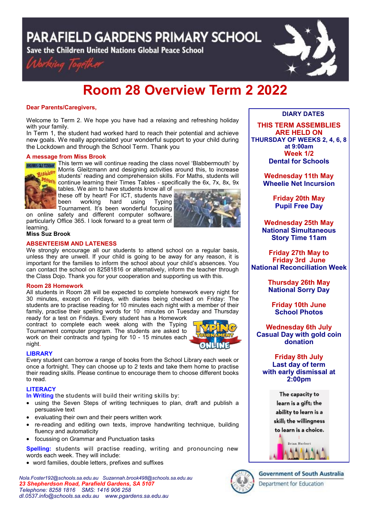**PARAFIELD GARDENS PRIMARY SCHOOL** 

Save the Children United Nations Global Peace School





# **Room 28 Overview Term 2 2022**

## **Dear Parents/Caregivers,**

Welcome to Term 2. We hope you have had a relaxing and refreshing holiday with your family.

In Term 1, the student had worked hard to reach their potential and achieve new goals. We really appreciated your wonderful support to your child during the Lockdown and through the School Term. Thank you

#### **A message from Miss Brook**



**MORNIS GLETZINARY** This term we will continue reading the class novel 'Blabbermouth' by Morris Gleitzmann and designing activities around this, to increase students' reading and comprehension skills. For Maths, students will **Mouth** students Teading and somprenencement comments of the 6x, 7x, 8x, 9x tables. We aim to have students know all of

these off by heart! For ICT, students have been working hard using Typing Tournament. It's been wonderful focusing

on online safety and different computer software, particularly Office 365. I look forward to a great term of learning.



## **Miss Suz Brook**

## **ABSENTEEISM AND LATENESS**

We strongly encourage all our students to attend school on a regular basis, unless they are unwell. If your child is going to be away for any reason, it is important for the families to inform the school about your child's absences. You can contact the school on 82581816 or alternatively, inform the teacher through the Class Dojo. Thank you for your cooperation and supporting us with this.

## **Room 28 Homework**

All students in Room 28 will be expected to complete homework every night for 30 minutes, except on Fridays, with diaries being checked on Friday: The students are to practise reading for 10 minutes each night with a member of their family, practise their spelling words for 10 minutes on Tuesday and Thursday

ready for a test on Fridays. Every student has a Homework contract to complete each week along with the Typing Tournament computer program. The students are asked to work on their contracts and typing for 10 - 15 minutes each night.



#### **LIBRARY**

Every student can borrow a range of books from the School Library each week or once a fortnight. They can choose up to 2 texts and take them home to practise their reading skills. Please continue to encourage them to choose different books to read.

## **LITERACY**

**In Writing** the students will build their writing skills by:

- using the Seven Steps of writing techniques to plan, draft and publish a persuasive text
- evaluating their own and their peers written work
- re-reading and editing own texts, improve handwriting technique, building fluency and automaticity
- focussing on Grammar and Punctuation tasks

**Spelling:** students will practise reading, writing and pronouncing new words each week. They will include:

word families, double letters, prefixes and suffixes

*Nola.Foster192@schools.sa.edu.au Suzannah.brook498@schools.sa.edu.au 23 Shepherdson Road, Parafield Gardens, SA 5107 Telephone: 8258 1816 [SMS:](http://www.youtube.com/user/ParafieldGR7) 1416 906 258 dl[.0537.info@schools.sa.edu.au](mailto:dl.0537_info@schools.sa.edu.au) www.pgardens.sa.edu.au*

## **DIARY DATES**

**THIS TERM ASSEMBLIES ARE HELD ON THURSDAY OF WEEKS 2, 4, 6, 8 at 9:00am Week 1/2 Dental for Schools**

> **Wednesday 11th May Wheelie Net Incursion**

> > **Friday 20th May Pupil Free Day**

**Wednesday 25th May National Simultaneous Story Time 11am**

**Friday 27th May to Friday 3rd June National Reconciliation Week**

> **Thursday 26th May National Sorry Day**

**Friday 10th June School Photos**

## **Wednesday 6th July Casual Day with gold coin donation**

## **Friday 8th July Last day of term with early dismissal at 2:00pm**

The capacity to learn is a gift; the ability to learn is a skill; the willingness to learn is a choice.





## **Government of South Australia**

Department for Education